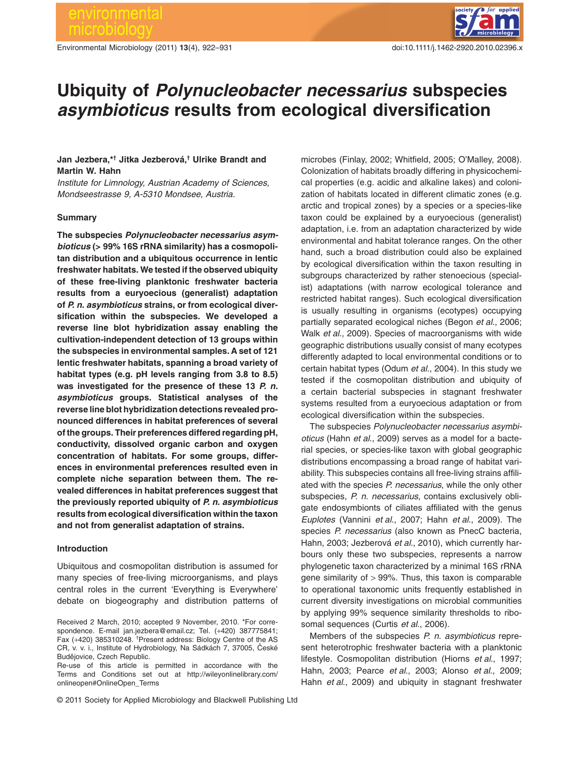Environmental Microbiology (2011) **13**(4), 922–931 doi:10.1111/j.1462-2920.2010.02396.x

# **Ubiquity of** *Polynucleobacter necessarius* **subspecies asymbioticus results from ecological diversification**

# **Jan Jezbera,\*† Jitka Jezberová,† Ulrike Brandt and Martin W. Hahn**

*Institute for Limnology, Austrian Academy of Sciences, Mondseestrasse 9, A-5310 Mondsee, Austria.*

## **Summary**

**The subspecies** *Polynucleobacter necessarius asymbioticus* **(> 99% 16S rRNA similarity) has a cosmopolitan distribution and a ubiquitous occurrence in lentic freshwater habitats. We tested if the observed ubiquity of these free-living planktonic freshwater bacteria results from a euryoecious (generalist) adaptation of** *P. n. asymbioticus* **strains, or from ecological diversification within the subspecies. We developed a reverse line blot hybridization assay enabling the cultivation-independent detection of 13 groups within the subspecies in environmental samples. A set of 121 lentic freshwater habitats, spanning a broad variety of habitat types (e.g. pH levels ranging from 3.8 to 8.5) was investigated for the presence of these 13** *P. n. asymbioticus* **groups. Statistical analyses of the reverse line blot hybridization detections revealed pronounced differences in habitat preferences of several of the groups. Their preferences differed regarding pH, conductivity, dissolved organic carbon and oxygen concentration of habitats. For some groups, differences in environmental preferences resulted even in complete niche separation between them. The revealed differences in habitat preferences suggest that the previously reported ubiquity of** *P. n. asymbioticus* **results from ecological diversification within the taxon and not from generalist adaptation of strains.**

## **Introduction**

Ubiquitous and cosmopolitan distribution is assumed for many species of free-living microorganisms, and plays central roles in the current 'Everything is Everywhere' debate on biogeography and distribution patterns of microbes (Finlay, 2002; Whitfield, 2005; O'Malley, 2008). Colonization of habitats broadly differing in physicochemical properties (e.g. acidic and alkaline lakes) and colonization of habitats located in different climatic zones (e.g. arctic and tropical zones) by a species or a species-like taxon could be explained by a euryoecious (generalist) adaptation, i.e. from an adaptation characterized by wide environmental and habitat tolerance ranges. On the other hand, such a broad distribution could also be explained by ecological diversification within the taxon resulting in subgroups characterized by rather stenoecious (specialist) adaptations (with narrow ecological tolerance and restricted habitat ranges). Such ecological diversification is usually resulting in organisms (ecotypes) occupying partially separated ecological niches (Begon *et al*., 2006; Walk *et al*., 2009). Species of macroorganisms with wide geographic distributions usually consist of many ecotypes differently adapted to local environmental conditions or to certain habitat types (Odum *et al*., 2004). In this study we tested if the cosmopolitan distribution and ubiquity of a certain bacterial subspecies in stagnant freshwater systems resulted from a euryoecious adaptation or from ecological diversification within the subspecies.

The subspecies *Polynucleobacter necessarius asymbioticus* (Hahn *et al*., 2009) serves as a model for a bacterial species, or species-like taxon with global geographic distributions encompassing a broad range of habitat variability. This subspecies contains all free-living strains affiliated with the species *P. necessarius*, while the only other subspecies, *P. n. necessarius*, contains exclusively obligate endosymbionts of ciliates affiliated with the genus *Euplotes* (Vannini *et al*., 2007; Hahn *et al*., 2009). The species *P. necessarius* (also known as PnecC bacteria, Hahn, 2003; Jezberová *et al*., 2010), which currently harbours only these two subspecies, represents a narrow phylogenetic taxon characterized by a minimal 16S rRNA gene similarity of > 99%. Thus, this taxon is comparable to operational taxonomic units frequently established in current diversity investigations on microbial communities by applying 99% sequence similarity thresholds to ribosomal sequences (Curtis *et al*., 2006).

Members of the subspecies *P. n. asymbioticus* represent heterotrophic freshwater bacteria with a planktonic lifestyle. Cosmopolitan distribution (Hiorns *et al*., 1997; Hahn, 2003; Pearce *et al*., 2003; Alonso *et al*., 2009; Hahn *et al*., 2009) and ubiquity in stagnant freshwater

© 2011 Society for Applied Microbiology and Blackwell Publishing Ltd

Received 2 March, 2010; accepted 9 November, 2010. \*For correspondence. E-mail [jan.jezbera@email.cz;](mailto:jan.jezbera@email.cz) Tel. (+420) 387775841; Fax (+420) 385310248. † Present address: Biology Centre of the AS CR, v. v. i., Institute of Hydrobiology, Na Sádkách 7, 37005, České Budějovice, Czech Republic.

Re-use of this article is permitted in accordance with the Terms and Conditions set out at [http://wileyonlinelibrary.com/](http://wileyonlinelibrary.com/onlineopen#OnlineOpen_Terms) [onlineopen#OnlineOpen\\_Terms](http://wileyonlinelibrary.com/onlineopen#OnlineOpen_Terms)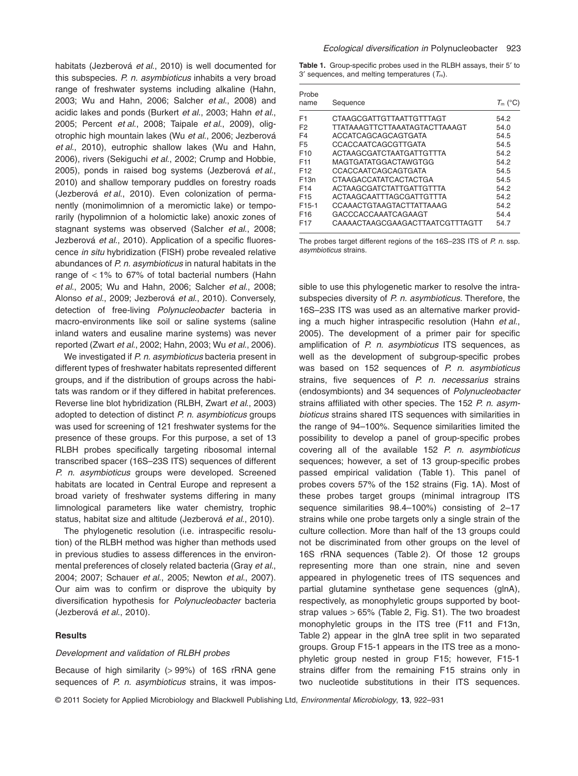habitats (Jezberová *et al*., 2010) is well documented for this subspecies. *P. n. asymbioticus* inhabits a very broad range of freshwater systems including alkaline (Hahn, 2003; Wu and Hahn, 2006; Salcher *et al*., 2008) and acidic lakes and ponds (Burkert *et al*., 2003; Hahn *et al*., 2005; Percent *et al*., 2008; Taipale *et al*., 2009), oligotrophic high mountain lakes (Wu *et al*., 2006; Jezberová *et al*., 2010), eutrophic shallow lakes (Wu and Hahn, 2006), rivers (Sekiguchi *et al*., 2002; Crump and Hobbie, 2005), ponds in raised bog systems (Jezberová *et al*., 2010) and shallow temporary puddles on forestry roads (Jezberová *et al*., 2010). Even colonization of permanently (monimolimnion of a meromictic lake) or temporarily (hypolimnion of a holomictic lake) anoxic zones of stagnant systems was observed (Salcher *et al*., 2008; Jezberová *et al*., 2010). Application of a specific fluorescence *in situ* hybridization (FISH) probe revealed relative abundances of *P. n. asymbioticus* in natural habitats in the range of < 1% to 67% of total bacterial numbers (Hahn *et al*., 2005; Wu and Hahn, 2006; Salcher *et al*., 2008; Alonso *et al*., 2009; Jezberová *et al*., 2010). Conversely, detection of free-living *Polynucleobacter* bacteria in macro-environments like soil or saline systems (saline inland waters and eusaline marine systems) was never reported (Zwart *et al*., 2002; Hahn, 2003; Wu *et al*., 2006).

We investigated if *P. n. asymbioticus* bacteria present in different types of freshwater habitats represented different groups, and if the distribution of groups across the habitats was random or if they differed in habitat preferences. Reverse line blot hybridization (RLBH, Zwart *et al*., 2003) adopted to detection of distinct *P. n. asymbioticus* groups was used for screening of 121 freshwater systems for the presence of these groups. For this purpose, a set of 13 RLBH probes specifically targeting ribosomal internal transcribed spacer (16S–23S ITS) sequences of different *P. n. asymbioticus* groups were developed. Screened habitats are located in Central Europe and represent a broad variety of freshwater systems differing in many limnological parameters like water chemistry, trophic status, habitat size and altitude (Jezberová *et al*., 2010).

The phylogenetic resolution (i.e. intraspecific resolution) of the RLBH method was higher than methods used in previous studies to assess differences in the environmental preferences of closely related bacteria (Gray *et al*., 2004; 2007; Schauer *et al*., 2005; Newton *et al*., 2007). Our aim was to confirm or disprove the ubiquity by diversification hypothesis for *Polynucleobacter* bacteria (Jezberová *et al*., 2010).

## **Results**

## *Development and validation of RLBH probes*

Because of high similarity (> 99%) of 16S rRNA gene sequences of *P. n. asymbioticus* strains, it was impos-

**Table 1.** Group-specific probes used in the RLBH assays, their 5′ to 3′ sequences, and melting temperatures (*T*m).

| Probe<br>name    | Sequence                        | $T_m$ (°C) |
|------------------|---------------------------------|------------|
| F1               | CTAAGCGATTGTTAATTGTTTAGT        | 54.2       |
| F2               | TTATAAAGTTCTTAAATAGTACTTAAAGT   | 54.0       |
| F4               | ACCATCAGCAGCAGTGATA             | 54.5       |
| F <sub>5</sub>   | <b>CCACCAATCAGCGTTGATA</b>      | 54.5       |
| F10              | ACTAAGCGATCTAATGATTGTTTA        | 54.2       |
| F <sub>11</sub>  | MAGTGATATGGACTAWGTGG            | 54.2       |
| F <sub>12</sub>  | CCACCAATCAGCAGTGATA             | 54.5       |
| F <sub>13n</sub> | CTAAGACCATATCACTACTGA           | 54.5       |
| F <sub>14</sub>  | ACTAAGCGATCTATTGATTGTTTA        | 54.2       |
| F <sub>15</sub>  | ACTAAGCAATTTAGCGATTGTTTA        | 54.2       |
| $F15-1$          | CCAAACTGTAAGTACTTATTAAAG        | 54.2       |
| F <sub>16</sub>  | GACCCACCAAATCAGAAGT             | 54.4       |
| F17              | CAAAACTAAGCGAAGACTTAATCGTTTAGTT | 54.7       |

The probes target different regions of the 16S–23S ITS of *P. n.* ssp. *asymbioticus* strains.

sible to use this phylogenetic marker to resolve the intrasubspecies diversity of *P. n. asymbioticus*. Therefore, the 16S–23S ITS was used as an alternative marker providing a much higher intraspecific resolution (Hahn *et al*., 2005). The development of a primer pair for specific amplification of *P. n. asymbioticus* ITS sequences, as well as the development of subgroup-specific probes was based on 152 sequences of *P. n. asymbioticus* strains, five sequences of *P. n. necessarius* strains (endosymbionts) and 34 sequences of *Polynucleobacter* strains affiliated with other species. The 152 *P. n. asymbioticus* strains shared ITS sequences with similarities in the range of 94–100%. Sequence similarities limited the possibility to develop a panel of group-specific probes covering all of the available 152 *P. n. asymbioticus* sequences; however, a set of 13 group-specific probes passed empirical validation (Table 1). This panel of probes covers 57% of the 152 strains (Fig. 1A). Most of these probes target groups (minimal intragroup ITS sequence similarities 98.4–100%) consisting of 2–17 strains while one probe targets only a single strain of the culture collection. More than half of the 13 groups could not be discriminated from other groups on the level of 16S rRNA sequences (Table 2). Of those 12 groups representing more than one strain, nine and seven appeared in phylogenetic trees of ITS sequences and partial glutamine synthetase gene sequences (glnA), respectively, as monophyletic groups supported by bootstrap values  $> 65\%$  (Table 2, Fig. S1). The two broadest monophyletic groups in the ITS tree (F11 and F13n, Table 2) appear in the glnA tree split in two separated groups. Group F15-1 appears in the ITS tree as a monophyletic group nested in group F15; however, F15-1 strains differ from the remaining F15 strains only in two nucleotide substitutions in their ITS sequences.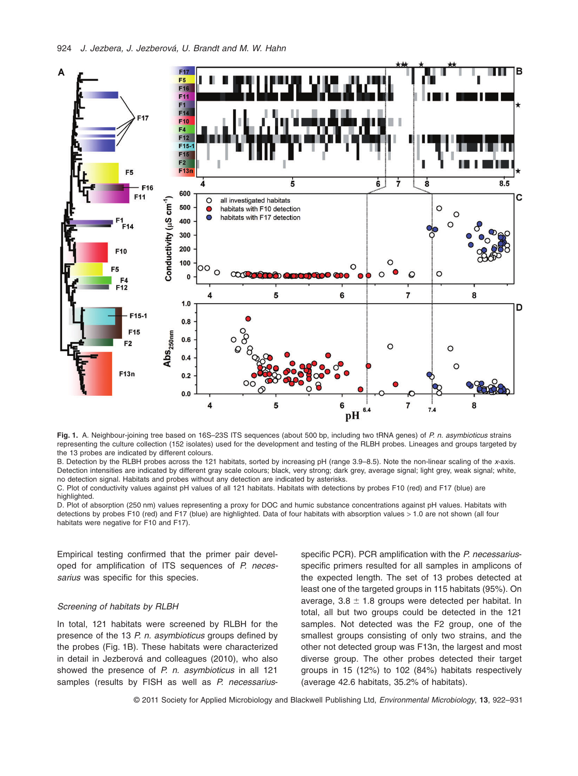

**Fig. 1.** A. Neighbour-joining tree based on 16S–23S ITS sequences (about 500 bp, including two tRNA genes) of *P. n. asymbioticus* strains representing the culture collection (152 isolates) used for the development and testing of the RLBH probes. Lineages and groups targeted by the 13 probes are indicated by different colours.

B. Detection by the RLBH probes across the 121 habitats, sorted by increasing pH (range 3.9–8.5). Note the non-linear scaling of the *x*-axis. Detection intensities are indicated by different gray scale colours; black, very strong; dark grey, average signal; light grey, weak signal; white, no detection signal. Habitats and probes without any detection are indicated by asterisks.

C. Plot of conductivity values against pH values of all 121 habitats. Habitats with detections by probes F10 (red) and F17 (blue) are highlighted.

D. Plot of absorption (250 nm) values representing a proxy for DOC and humic substance concentrations against pH values. Habitats with detections by probes F10 (red) and F17 (blue) are highlighted. Data of four habitats with absorption values > 1.0 are not shown (all four habitats were negative for F10 and F17).

Empirical testing confirmed that the primer pair developed for amplification of ITS sequences of *P. necessarius* was specific for this species.

## *Screening of habitats by RLBH*

In total, 121 habitats were screened by RLBH for the presence of the 13 *P. n. asymbioticus* groups defined by the probes (Fig. 1B). These habitats were characterized in detail in Jezberová and colleagues (2010), who also showed the presence of *P. n. asymbioticus* in all 121 samples (results by FISH as well as *P. necessarius*- specific PCR). PCR amplification with the *P. necessarius*specific primers resulted for all samples in amplicons of the expected length. The set of 13 probes detected at least one of the targeted groups in 115 habitats (95%). On average, 3.8  $\pm$  1.8 groups were detected per habitat. In total, all but two groups could be detected in the 121 samples. Not detected was the F2 group, one of the smallest groups consisting of only two strains, and the other not detected group was F13n, the largest and most diverse group. The other probes detected their target groups in 15 (12%) to 102 (84%) habitats respectively (average 42.6 habitats, 35.2% of habitats).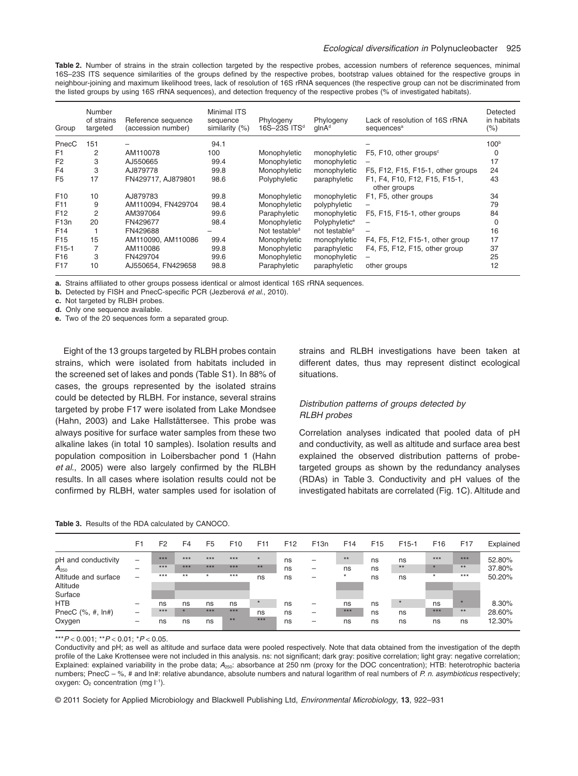**Table 2.** Number of strains in the strain collection targeted by the respective probes, accession numbers of reference sequences, minimal 16S–23S ITS sequence similarities of the groups defined by the respective probes, bootstrap values obtained for the respective groups in neighbour-joining and maximum likelihood trees, lack of resolution of 16S rRNA sequences (the respective group can not be discriminated from the listed groups by using 16S rRNA sequences), and detection frequency of the respective probes (% of investigated habitats).

| Group            | Number<br>of strains<br>targeted | Reference sequence<br>(accession number) | Minimal ITS<br>sequence<br>similarity $(%)$ | Phylogeny<br>16S-23S ITS <sup>d</sup> | Phylogeny<br>$g$ In $A^d$ | Lack of resolution of 16S rRNA<br>sequences <sup>a</sup> | Detected<br>in habitats<br>(% ) |
|------------------|----------------------------------|------------------------------------------|---------------------------------------------|---------------------------------------|---------------------------|----------------------------------------------------------|---------------------------------|
| PnecC            | 151                              |                                          | 94.1                                        |                                       |                           |                                                          | 100 <sup>b</sup>                |
| F <sub>1</sub>   | 2                                | AM110078                                 | 100                                         | Monophyletic                          | monophyletic              | F5, F10, other groups <sup>c</sup>                       | 0                               |
| F <sub>2</sub>   | 3                                | AJ550665                                 | 99.4                                        | Monophyletic                          | monophyletic              |                                                          | 17                              |
| F4               | 3                                | AJ879778                                 | 99.8                                        | Monophyletic                          | monophyletic              | F5, F12, F15, F15-1, other groups                        | 24                              |
| F <sub>5</sub>   | 17                               | FN429717, AJ879801                       | 98.6                                        | Polyphyletic                          | paraphyletic              | F1, F4, F10, F12, F15, F15-1,<br>other groups            | 43                              |
| F <sub>10</sub>  | 10                               | AJ879783                                 | 99.8                                        | Monophyletic                          | monophyletic              | F1, F5, other groups                                     | 34                              |
| F <sub>11</sub>  | 9                                | AM110094. FN429704                       | 98.4                                        | Monophyletic                          | polyphyletic              |                                                          | 79                              |
| F <sub>12</sub>  | 2                                | AM397064                                 | 99.6                                        | Paraphyletic                          | monophyletic              | F5, F15, F15-1, other groups                             | 84                              |
| F <sub>13n</sub> | 20                               | FN429677                                 | 98.4                                        | Monophyletic                          | Polyphyletic <sup>e</sup> |                                                          | 0                               |
| F <sub>14</sub>  |                                  | FN429688                                 |                                             | Not testable <sup>d</sup>             | not testable <sup>d</sup> |                                                          | 16                              |
| F <sub>15</sub>  | 15                               | AM110090, AM110086                       | 99.4                                        | Monophyletic                          | monophyletic              | F4, F5, F12, F15-1, other group                          | 17                              |
| $F15-1$          | 7                                | AM110086                                 | 99.8                                        | Monophyletic                          | paraphyletic              | F4, F5, F12, F15, other group                            | 37                              |
| F <sub>16</sub>  | 3                                | FN429704                                 | 99.6                                        | Monophyletic                          | monophyletic              |                                                          | 25                              |
| F <sub>17</sub>  | 10                               | AJ550654. FN429658                       | 98.8                                        | Paraphyletic                          | paraphyletic              | other groups                                             | 12                              |

**a.** Strains affiliated to other groups possess identical or almost identical 16S rRNA sequences.

**b.** Detected by FISH and PnecC-specific PCR (Jezberová *et al*., 2010).

**c.** Not targeted by RLBH probes.

**d.** Only one sequence available.

**e.** Two of the 20 sequences form a separated group.

Eight of the 13 groups targeted by RLBH probes contain strains, which were isolated from habitats included in the screened set of lakes and ponds (Table S1). In 88% of cases, the groups represented by the isolated strains could be detected by RLBH. For instance, several strains targeted by probe F17 were isolated from Lake Mondsee (Hahn, 2003) and Lake Hallstättersee. This probe was always positive for surface water samples from these two alkaline lakes (in total 10 samples). Isolation results and population composition in Loibersbacher pond 1 (Hahn *et al*., 2005) were also largely confirmed by the RLBH results. In all cases where isolation results could not be confirmed by RLBH, water samples used for isolation of

|  |  |  |  | <b>Table 3.</b> Results of the RDA calculated by CANOCO. |  |  |  |  |
|--|--|--|--|----------------------------------------------------------|--|--|--|--|
|--|--|--|--|----------------------------------------------------------|--|--|--|--|

strains and RLBH investigations have been taken at different dates, thus may represent distinct ecological situations.

# *Distribution patterns of groups detected by RLBH probes*

Correlation analyses indicated that pooled data of pH and conductivity, as well as altitude and surface area best explained the observed distribution patterns of probetargeted groups as shown by the redundancy analyses (RDAs) in Table 3. Conductivity and pH values of the investigated habitats are correlated (Fig. 1C). Altitude and

|                      | F <sub>1</sub>           | F <sub>2</sub> | F4    | F <sub>5</sub> | F <sub>10</sub> | F <sub>11</sub> | F <sub>12</sub> | F <sub>13n</sub>         | F14     | F <sub>15</sub> | F <sub>15</sub> -1 | F16     | F <sub>17</sub> | Explained |
|----------------------|--------------------------|----------------|-------|----------------|-----------------|-----------------|-----------------|--------------------------|---------|-----------------|--------------------|---------|-----------------|-----------|
| pH and conductivity  | $\overline{\phantom{0}}$ | ***            | $***$ | $***$          | $***$           | $\star$         | ns              | $\overline{\phantom{0}}$ | $**$    | ns              | ns                 | $***$   | ***             | 52.80%    |
| $A_{250}$            |                          | $***$          | ***   | ***            | ***             | **              | ns              |                          | ns      | ns              | $**$               |         | $**$            | 37.80%    |
| Altitude and surface |                          | $***$          | $**$  | $\star$        | $***$           | ns              | ns              |                          | $\star$ | ns              | ns                 | $\star$ | $***$           | 50.20%    |
| Altitude             |                          |                |       |                |                 |                 |                 |                          |         |                 |                    |         |                 |           |
| Surface              |                          |                |       |                |                 |                 |                 |                          |         |                 |                    |         |                 |           |
| <b>HTB</b>           |                          | ns             | ns    | ns             | ns              | 大               | ns              |                          | ns      | ns              | $\star$            | ns      |                 | 8.30%     |
| PnecC (%, #, ln#)    |                          | $***$          |       | ***            | ***             | ns              | ns              | $\overline{\phantom{0}}$ | ***     | ns              | ns                 | ***     | $**$            | 28.60%    |
| Oxygen               | —                        | ns             | ns    | ns             | $**$            | ***             | ns              | -                        | ns      | ns              | ns                 | ns      | ns              | 12.30%    |

\*\*\**P* < 0.001; \*\**P* < 0.01; \**P* < 0.05.

Conductivity and pH; as well as altitude and surface data were pooled respectively. Note that data obtained from the investigation of the depth profile of the Lake Krottensee were not included in this analysis. ns: not significant; dark gray: positive correlation; light gray: negative correlation; Explained: explained variability in the probe data;  $A_{P50}$ : absorbance at 250 nm (proxy for the DOC concentration); HTB: heterotrophic bacteria numbers; PnecC – %, # and ln#: relative abundance, absolute numbers and natural logarithm of real numbers of *P. n. asymbioticus* respectively; oxygen:  $O_2$  concentration (mg  $I^{-1}$ ).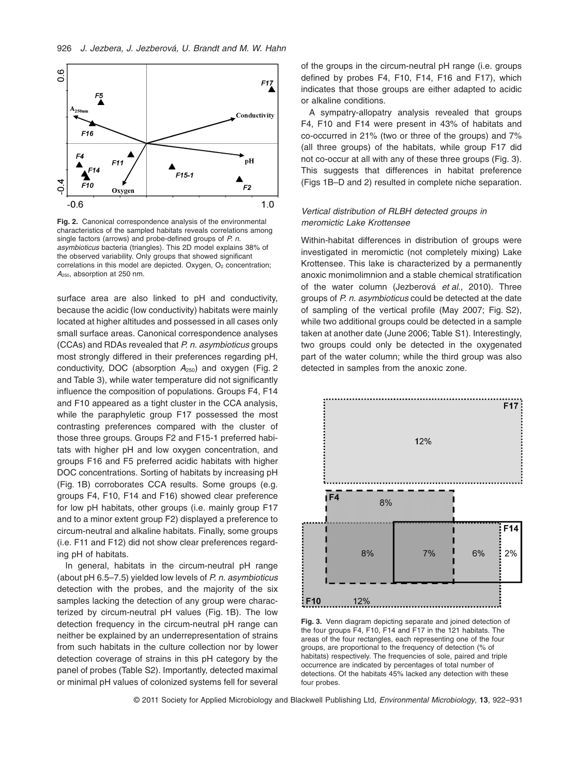

**Fig. 2.** Canonical correspondence analysis of the environmental characteristics of the sampled habitats reveals correlations among single factors (arrows) and probe-defined groups of *P. n. asymbioticus* bacteria (triangles). This 2D model explains 38% of the observed variability. Only groups that showed significant correlations in this model are depicted. Oxygen, O<sub>2</sub> concentration; *A*250, absorption at 250 nm.

surface area are also linked to pH and conductivity, because the acidic (low conductivity) habitats were mainly located at higher altitudes and possessed in all cases only small surface areas. Canonical correspondence analyses (CCAs) and RDAs revealed that *P. n. asymbioticus* groups most strongly differed in their preferences regarding pH, conductivity, DOC (absorption  $A_{250}$ ) and oxygen (Fig. 2 and Table 3), while water temperature did not significantly influence the composition of populations. Groups F4, F14 and F10 appeared as a tight cluster in the CCA analysis, while the paraphyletic group F17 possessed the most contrasting preferences compared with the cluster of those three groups. Groups F2 and F15-1 preferred habitats with higher pH and low oxygen concentration, and groups F16 and F5 preferred acidic habitats with higher DOC concentrations. Sorting of habitats by increasing pH (Fig. 1B) corroborates CCA results. Some groups (e.g. groups F4, F10, F14 and F16) showed clear preference for low pH habitats, other groups (i.e. mainly group F17 and to a minor extent group F2) displayed a preference to circum-neutral and alkaline habitats. Finally, some groups (i.e. F11 and F12) did not show clear preferences regarding pH of habitats.

In general, habitats in the circum-neutral pH range (about pH 6.5–7.5) yielded low levels of *P. n. asymbioticus* detection with the probes, and the majority of the six samples lacking the detection of any group were characterized by circum-neutral pH values (Fig. 1B). The low detection frequency in the circum-neutral pH range can neither be explained by an underrepresentation of strains from such habitats in the culture collection nor by lower detection coverage of strains in this pH category by the panel of probes (Table S2). Importantly, detected maximal or minimal pH values of colonized systems fell for several of the groups in the circum-neutral pH range (i.e. groups defined by probes F4, F10, F14, F16 and F17), which indicates that those groups are either adapted to acidic or alkaline conditions.

A sympatry-allopatry analysis revealed that groups F4, F10 and F14 were present in 43% of habitats and co-occurred in 21% (two or three of the groups) and 7% (all three groups) of the habitats, while group F17 did not co-occur at all with any of these three groups (Fig. 3). This suggests that differences in habitat preference (Figs 1B–D and 2) resulted in complete niche separation.

## *Vertical distribution of RLBH detected groups in meromictic Lake Krottensee*

Within-habitat differences in distribution of groups were investigated in meromictic (not completely mixing) Lake Krottensee. This lake is characterized by a permanently anoxic monimolimnion and a stable chemical stratification of the water column (Jezberová *et al*., 2010). Three groups of *P. n. asymbioticus* could be detected at the date of sampling of the vertical profile (May 2007; Fig. S2), while two additional groups could be detected in a sample taken at another date (June 2006; Table S1). Interestingly, two groups could only be detected in the oxygenated part of the water column; while the third group was also detected in samples from the anoxic zone.



**Fig. 3.** Venn diagram depicting separate and joined detection of the four groups F4, F10, F14 and F17 in the 121 habitats. The areas of the four rectangles, each representing one of the four groups, are proportional to the frequency of detection (% of habitats) respectively. The frequencies of sole, paired and triple occurrence are indicated by percentages of total number of detections. Of the habitats 45% lacked any detection with these four probes.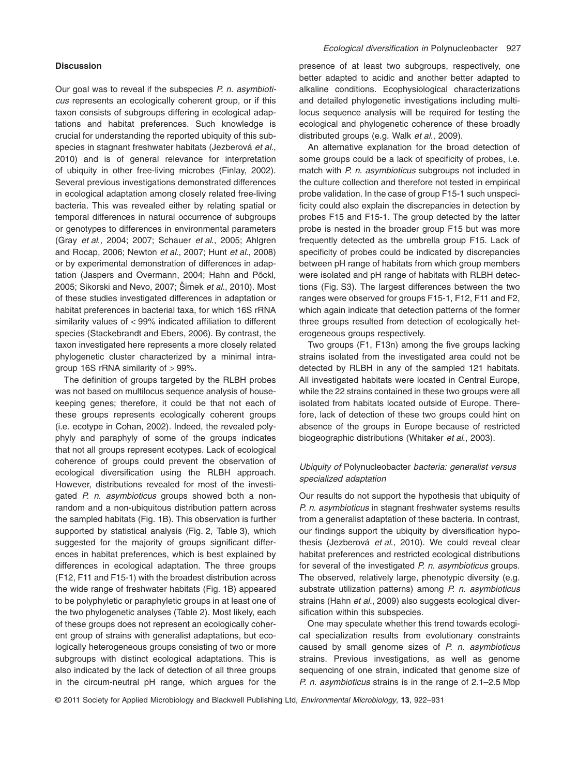## **Discussion**

Our goal was to reveal if the subspecies *P. n. asymbioticus* represents an ecologically coherent group, or if this taxon consists of subgroups differing in ecological adaptations and habitat preferences. Such knowledge is crucial for understanding the reported ubiquity of this subspecies in stagnant freshwater habitats (Jezberová *et al*., 2010) and is of general relevance for interpretation of ubiquity in other free-living microbes (Finlay, 2002). Several previous investigations demonstrated differences in ecological adaptation among closely related free-living bacteria. This was revealed either by relating spatial or temporal differences in natural occurrence of subgroups or genotypes to differences in environmental parameters (Gray *et al*., 2004; 2007; Schauer *et al*., 2005; Ahlgren and Rocap, 2006; Newton *et al*., 2007; Hunt *et al*., 2008) or by experimental demonstration of differences in adaptation (Jaspers and Overmann, 2004; Hahn and Pöckl, 2005; Sikorski and Nevo, 2007; Šimek *et al*., 2010). Most of these studies investigated differences in adaptation or habitat preferences in bacterial taxa, for which 16S rRNA similarity values of < 99% indicated affiliation to different species (Stackebrandt and Ebers, 2006). By contrast, the taxon investigated here represents a more closely related phylogenetic cluster characterized by a minimal intragroup 16S rRNA similarity of > 99%.

The definition of groups targeted by the RLBH probes was not based on multilocus sequence analysis of housekeeping genes; therefore, it could be that not each of these groups represents ecologically coherent groups (i.e. ecotype in Cohan, 2002). Indeed, the revealed polyphyly and paraphyly of some of the groups indicates that not all groups represent ecotypes. Lack of ecological coherence of groups could prevent the observation of ecological diversification using the RLBH approach. However, distributions revealed for most of the investigated *P. n. asymbioticus* groups showed both a nonrandom and a non-ubiquitous distribution pattern across the sampled habitats (Fig. 1B). This observation is further supported by statistical analysis (Fig. 2, Table 3), which suggested for the majority of groups significant differences in habitat preferences, which is best explained by differences in ecological adaptation. The three groups (F12, F11 and F15-1) with the broadest distribution across the wide range of freshwater habitats (Fig. 1B) appeared to be polyphyletic or paraphyletic groups in at least one of the two phylogenetic analyses (Table 2). Most likely, each of these groups does not represent an ecologically coherent group of strains with generalist adaptations, but ecologically heterogeneous groups consisting of two or more subgroups with distinct ecological adaptations. This is also indicated by the lack of detection of all three groups in the circum-neutral pH range, which argues for the

presence of at least two subgroups, respectively, one better adapted to acidic and another better adapted to alkaline conditions. Ecophysiological characterizations and detailed phylogenetic investigations including multilocus sequence analysis will be required for testing the ecological and phylogenetic coherence of these broadly distributed groups (e.g. Walk *et al*., 2009).

An alternative explanation for the broad detection of some groups could be a lack of specificity of probes, i.e. match with *P. n. asymbioticus* subgroups not included in the culture collection and therefore not tested in empirical probe validation. In the case of group F15-1 such unspecificity could also explain the discrepancies in detection by probes F15 and F15-1. The group detected by the latter probe is nested in the broader group F15 but was more frequently detected as the umbrella group F15. Lack of specificity of probes could be indicated by discrepancies between pH range of habitats from which group members were isolated and pH range of habitats with RLBH detections (Fig. S3). The largest differences between the two ranges were observed for groups F15-1, F12, F11 and F2, which again indicate that detection patterns of the former three groups resulted from detection of ecologically heterogeneous groups respectively.

Two groups (F1, F13n) among the five groups lacking strains isolated from the investigated area could not be detected by RLBH in any of the sampled 121 habitats. All investigated habitats were located in Central Europe, while the 22 strains contained in these two groups were all isolated from habitats located outside of Europe. Therefore, lack of detection of these two groups could hint on absence of the groups in Europe because of restricted biogeographic distributions (Whitaker *et al*., 2003).

# *Ubiquity of* Polynucleobacter *bacteria: generalist versus specialized adaptation*

Our results do not support the hypothesis that ubiquity of *P. n. asymbioticus* in stagnant freshwater systems results from a generalist adaptation of these bacteria. In contrast, our findings support the ubiquity by diversification hypothesis (Jezberová *et al*., 2010). We could reveal clear habitat preferences and restricted ecological distributions for several of the investigated *P. n. asymbioticus* groups. The observed, relatively large, phenotypic diversity (e.g. substrate utilization patterns) among *P. n. asymbioticus* strains (Hahn *et al*., 2009) also suggests ecological diversification within this subspecies.

One may speculate whether this trend towards ecological specialization results from evolutionary constraints caused by small genome sizes of *P. n. asymbioticus* strains. Previous investigations, as well as genome sequencing of one strain, indicated that genome size of *P. n. asymbioticus* strains is in the range of 2.1–2.5 Mbp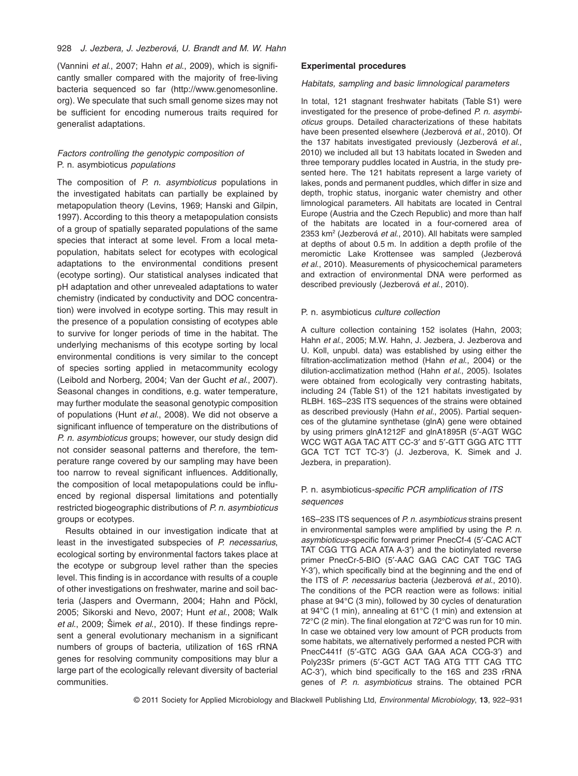## 928 *J. Jezbera, J. Jezberová, U. Brandt and M. W. Hahn*

(Vannini *et al*., 2007; Hahn *et al*., 2009), which is significantly smaller compared with the majority of free-living bacteria sequenced so far [\(http://www.genomesonline.](http://www.genomesonline.org) [org\)](http://www.genomesonline.org). We speculate that such small genome sizes may not be sufficient for encoding numerous traits required for generalist adaptations.

## *Factors controlling the genotypic composition of* P. n. asymbioticus *populations*

The composition of *P. n. asymbioticus* populations in the investigated habitats can partially be explained by metapopulation theory (Levins, 1969; Hanski and Gilpin, 1997). According to this theory a metapopulation consists of a group of spatially separated populations of the same species that interact at some level. From a local metapopulation, habitats select for ecotypes with ecological adaptations to the environmental conditions present (ecotype sorting). Our statistical analyses indicated that pH adaptation and other unrevealed adaptations to water chemistry (indicated by conductivity and DOC concentration) were involved in ecotype sorting. This may result in the presence of a population consisting of ecotypes able to survive for longer periods of time in the habitat. The underlying mechanisms of this ecotype sorting by local environmental conditions is very similar to the concept of species sorting applied in metacommunity ecology (Leibold and Norberg, 2004; Van der Gucht *et al*., 2007). Seasonal changes in conditions, e.g. water temperature, may further modulate the seasonal genotypic composition of populations (Hunt *et al*., 2008). We did not observe a significant influence of temperature on the distributions of *P. n. asymbioticus* groups; however, our study design did not consider seasonal patterns and therefore, the temperature range covered by our sampling may have been too narrow to reveal significant influences. Additionally, the composition of local metapopulations could be influenced by regional dispersal limitations and potentially restricted biogeographic distributions of *P. n. asymbioticus* groups or ecotypes.

Results obtained in our investigation indicate that at least in the investigated subspecies of *P. necessarius*, ecological sorting by environmental factors takes place at the ecotype or subgroup level rather than the species level. This finding is in accordance with results of a couple of other investigations on freshwater, marine and soil bacteria (Jaspers and Overmann, 2004; Hahn and Pöckl, 2005; Sikorski and Nevo, 2007; Hunt *et al*., 2008; Walk *et al*., 2009; Šimek *et al*., 2010). If these findings represent a general evolutionary mechanism in a significant numbers of groups of bacteria, utilization of 16S rRNA genes for resolving community compositions may blur a large part of the ecologically relevant diversity of bacterial communities.

#### **Experimental procedures**

## *Habitats, sampling and basic limnological parameters*

In total, 121 stagnant freshwater habitats (Table S1) were investigated for the presence of probe-defined *P. n. asymbioticus* groups. Detailed characterizations of these habitats have been presented elsewhere (Jezberová *et al*., 2010). Of the 137 habitats investigated previously (Jezberová *et al*., 2010) we included all but 13 habitats located in Sweden and three temporary puddles located in Austria, in the study presented here. The 121 habitats represent a large variety of lakes, ponds and permanent puddles, which differ in size and depth, trophic status, inorganic water chemistry and other limnological parameters. All habitats are located in Central Europe (Austria and the Czech Republic) and more than half of the habitats are located in a four-cornered area of 2353 km2 (Jezberová *et al*., 2010). All habitats were sampled at depths of about 0.5 m. In addition a depth profile of the meromictic Lake Krottensee was sampled (Jezberová *et al*., 2010). Measurements of physicochemical parameters and extraction of environmental DNA were performed as described previously (Jezberová *et al*., 2010).

#### P. n. asymbioticus *culture collection*

A culture collection containing 152 isolates (Hahn, 2003; Hahn *et al*., 2005; M.W. Hahn, J. Jezbera, J. Jezberova and U. Koll, unpubl. data) was established by using either the filtration-acclimatization method (Hahn *et al*., 2004) or the dilution-acclimatization method (Hahn *et al*., 2005). Isolates were obtained from ecologically very contrasting habitats, including 24 (Table S1) of the 121 habitats investigated by RLBH. 16S–23S ITS sequences of the strains were obtained as described previously (Hahn *et al*., 2005). Partial sequences of the glutamine synthetase (glnA) gene were obtained by using primers glnA1212F and glnA1895R (5′-AGT WGC WCC WGT AGA TAC ATT CC-3′ and 5′-GTT GGG ATC TTT GCA TCT TCT TC-3′) (J. Jezberova, K. Simek and J. Jezbera, in preparation).

# P. n. asymbioticus*-specific PCR amplification of ITS sequences*

16S–23S ITS sequences of *P. n. asymbioticus* strains present in environmental samples were amplified by using the *P. n. asymbioticus*-specific forward primer PnecCf-4 (5′-CAC ACT TAT CGG TTG ACA ATA A-3′) and the biotinylated reverse primer PnecCr-5-BIO (5′-AAC GAG CAC CAT TGC TAG Y-3′), which specifically bind at the beginning and the end of the ITS of *P. necessarius* bacteria (Jezberová *et al*., 2010). The conditions of the PCR reaction were as follows: initial phase at 94°C (3 min), followed by 30 cycles of denaturation at 94°C (1 min), annealing at 61°C (1 min) and extension at 72°C (2 min). The final elongation at 72°C was run for 10 min. In case we obtained very low amount of PCR products from some habitats, we alternatively performed a nested PCR with PnecC441f (5′-GTC AGG GAA GAA ACA CCG-3′) and Poly23Sr primers (5′-GCT ACT TAG ATG TTT CAG TTC AC-3′), which bind specifically to the 16S and 23S rRNA genes of *P. n. asymbioticus* strains. The obtained PCR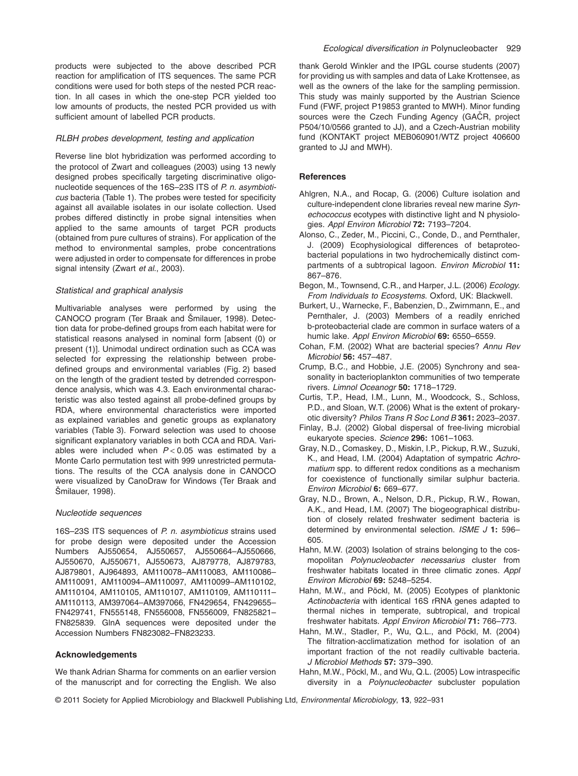products were subjected to the above described PCR reaction for amplification of ITS sequences. The same PCR conditions were used for both steps of the nested PCR reaction. In all cases in which the one-step PCR yielded too low amounts of products, the nested PCR provided us with sufficient amount of labelled PCR products.

## *RLBH probes development, testing and application*

Reverse line blot hybridization was performed according to the protocol of Zwart and colleagues (2003) using 13 newly designed probes specifically targeting discriminative oligonucleotide sequences of the 16S–23S ITS of *P. n. asymbioticus* bacteria (Table 1). The probes were tested for specificity against all available isolates in our isolate collection. Used probes differed distinctly in probe signal intensities when applied to the same amounts of target PCR products (obtained from pure cultures of strains). For application of the method to environmental samples, probe concentrations were adjusted in order to compensate for differences in probe signal intensity (Zwart *et al*., 2003).

## *Statistical and graphical analysis*

Multivariable analyses were performed by using the CANOCO program (Ter Braak and Šmilauer, 1998). Detection data for probe-defined groups from each habitat were for statistical reasons analysed in nominal form [absent (0) or present (1)]. Unimodal undirect ordination such as CCA was selected for expressing the relationship between probedefined groups and environmental variables (Fig. 2) based on the length of the gradient tested by detrended correspondence analysis, which was 4.3. Each environmental characteristic was also tested against all probe-defined groups by RDA, where environmental characteristics were imported as explained variables and genetic groups as explanatory variables (Table 3). Forward selection was used to choose significant explanatory variables in both CCA and RDA. Variables were included when *P* < 0.05 was estimated by a Monte Carlo permutation test with 999 unrestricted permutations. The results of the CCA analysis done in CANOCO were visualized by CanoDraw for Windows (Ter Braak and Šmilauer, 1998).

#### *Nucleotide sequences*

16S–23S ITS sequences of *P. n. asymbioticus* strains used for probe design were deposited under the Accession Numbers AJ550654, AJ550657, AJ550664–AJ550666, AJ550670, AJ550671, AJ550673, AJ879778, AJ879783, AJ879801, AJ964893, AM110078–AM110083, AM110086– AM110091, AM110094–AM110097, AM110099–AM110102, AM110104, AM110105, AM110107, AM110109, AM110111– AM110113, AM397064–AM397066, FN429654, FN429655– FN429741, FN555148, FN556008, FN556009, FN825821– FN825839. GlnA sequences were deposited under the Accession Numbers FN823082–FN823233.

## **Acknowledgements**

We thank Adrian Sharma for comments on an earlier version of the manuscript and for correcting the English. We also thank Gerold Winkler and the IPGL course students (2007) for providing us with samples and data of Lake Krottensee, as well as the owners of the lake for the sampling permission. This study was mainly supported by the Austrian Science Fund (FWF, project P19853 granted to MWH). Minor funding sources were the Czech Funding Agency (GACR, project P504/10/0566 granted to JJ), and a Czech-Austrian mobility fund (KONTAKT project MEB060901/WTZ project 406600 granted to JJ and MWH).

## **References**

- Ahlgren, N.A., and Rocap, G. (2006) Culture isolation and culture-independent clone libraries reveal new marine *Synechococcus* ecotypes with distinctive light and N physiologies. *Appl Environ Microbiol* **72:** 7193–7204.
- Alonso, C., Zeder, M., Piccini, C., Conde, D., and Pernthaler, J. (2009) Ecophysiological differences of betaproteobacterial populations in two hydrochemically distinct compartments of a subtropical lagoon. *Environ Microbiol* **11:** 867–876.
- Begon, M., Townsend, C.R., and Harper, J.L. (2006) *Ecology. From Individuals to Ecosystems*. Oxford, UK: Blackwell.
- Burkert, U., Warnecke, F., Babenzien, D., Zwirnmann, E., and Pernthaler, J. (2003) Members of a readily enriched b-proteobacterial clade are common in surface waters of a humic lake. *Appl Environ Microbiol* **69:** 6550–6559.
- Cohan, F.M. (2002) What are bacterial species? *Annu Rev Microbiol* **56:** 457–487.
- Crump, B.C., and Hobbie, J.E. (2005) Synchrony and seasonality in bacterioplankton communities of two temperate rivers. *Limnol Oceanogr* **50:** 1718–1729.
- Curtis, T.P., Head, I.M., Lunn, M., Woodcock, S., Schloss, P.D., and Sloan, W.T. (2006) What is the extent of prokaryotic diversity? *Philos Trans R Soc Lond B* **361:** 2023–2037.
- Finlay, B.J. (2002) Global dispersal of free-living microbial eukaryote species. *Science* **296:** 1061–1063.
- Gray, N.D., Comaskey, D., Miskin, I.P., Pickup, R.W., Suzuki, K., and Head, I.M. (2004) Adaptation of sympatric *Achromatium* spp. to different redox conditions as a mechanism for coexistence of functionally similar sulphur bacteria. *Environ Microbiol* **6:** 669–677.
- Gray, N.D., Brown, A., Nelson, D.R., Pickup, R.W., Rowan, A.K., and Head, I.M. (2007) The biogeographical distribution of closely related freshwater sediment bacteria is determined by environmental selection. *ISME J* **1:** 596– 605.
- Hahn, M.W. (2003) Isolation of strains belonging to the cosmopolitan *Polynucleobacter necessarius* cluster from freshwater habitats located in three climatic zones. *Appl Environ Microbiol* **69:** 5248–5254.
- Hahn, M.W., and Pöckl, M. (2005) Ecotypes of planktonic *Actinobacteria* with identical 16S rRNA genes adapted to thermal niches in temperate, subtropical, and tropical freshwater habitats. *Appl Environ Microbiol* **71:** 766–773.
- Hahn, M.W., Stadler, P., Wu, Q.L., and Pöckl, M. (2004) The filtration-acclimatization method for isolation of an important fraction of the not readily cultivable bacteria. *J Microbiol Methods* **57:** 379–390.
- Hahn, M.W., Pöckl, M., and Wu, Q.L. (2005) Low intraspecific diversity in a *Polynucleobacter* subcluster population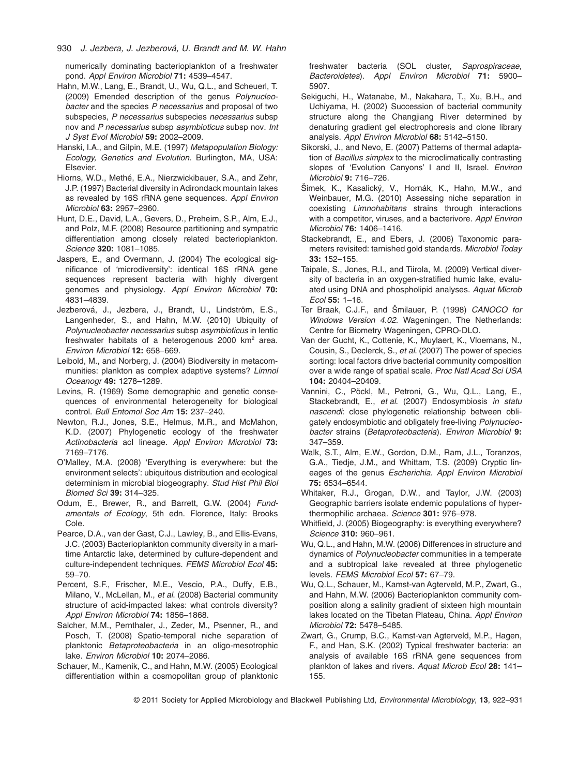numerically dominating bacterioplankton of a freshwater pond. *Appl Environ Microbiol* **71:** 4539–4547.

- Hahn, M.W., Lang, E., Brandt, U., Wu, Q.L., and Scheuerl, T. (2009) Emended description of the genus *Polynucleobacter* and the species *P necessarius* and proposal of two subspecies, *P necessarius* subspecies *necessarius* subsp nov and *P necessarius* subsp *asymbioticus* subsp nov. *Int J Syst Evol Microbiol* **59:** 2002–2009.
- Hanski, I.A., and Gilpin, M.E. (1997) *Metapopulation Biology: Ecology, Genetics and Evolution*. Burlington, MA, USA: Elsevier.
- Hiorns, W.D., Methé, E.A., Nierzwickibauer, S.A., and Zehr, J.P. (1997) Bacterial diversity in Adirondack mountain lakes as revealed by 16S rRNA gene sequences. *Appl Environ Microbiol* **63:** 2957–2960.
- Hunt, D.E., David, L.A., Gevers, D., Preheim, S.P., Alm, E.J., and Polz, M.F. (2008) Resource partitioning and sympatric differentiation among closely related bacterioplankton. *Science* **320:** 1081–1085.
- Jaspers, E., and Overmann, J. (2004) The ecological significance of 'microdiversity': identical 16S rRNA gene sequences represent bacteria with highly divergent genomes and physiology. *Appl Environ Microbiol* **70:** 4831–4839.
- Jezberová, J., Jezbera, J., Brandt, U., Lindström, E.S., Langenheder, S., and Hahn, M.W. (2010) Ubiquity of *Polynucleobacter necessarius* subsp *asymbioticus* in lentic freshwater habitats of a heterogenous 2000  $km<sup>2</sup>$  area. *Environ Microbiol* **12:** 658–669.
- Leibold, M., and Norberg, J. (2004) Biodiversity in metacommunities: plankton as complex adaptive systems? *Limnol Oceanogr* **49:** 1278–1289.
- Levins, R. (1969) Some demographic and genetic consequences of environmental heterogeneity for biological control. *Bull Entomol Soc Am* **15:** 237–240.
- Newton, R.J., Jones, S.E., Helmus, M.R., and McMahon, K.D. (2007) Phylogenetic ecology of the freshwater *Actinobacteria* acI lineage. *Appl Environ Microbiol* **73:** 7169–7176.
- O'Malley, M.A. (2008) 'Everything is everywhere: but the environment selects': ubiquitous distribution and ecological determinism in microbial biogeography. *Stud Hist Phil Biol Biomed Sci* **39:** 314–325.
- Odum, E., Brewer, R., and Barrett, G.W. (2004) *Fundamentals of Ecology*, 5th edn. Florence, Italy: Brooks Cole.
- Pearce, D.A., van der Gast, C.J., Lawley, B., and Ellis-Evans, J.C. (2003) Bacterioplankton community diversity in a maritime Antarctic lake, determined by culture-dependent and culture-independent techniques. *FEMS Microbiol Ecol* **45:** 59–70.
- Percent, S.F., Frischer, M.E., Vescio, P.A., Duffy, E.B., Milano, V., McLellan, M., *et al*. (2008) Bacterial community structure of acid-impacted lakes: what controls diversity? *Appl Environ Microbiol* **74:** 1856–1868.
- Salcher, M.M., Pernthaler, J., Zeder, M., Psenner, R., and Posch, T. (2008) Spatio-temporal niche separation of planktonic *Betaproteobacteria* in an oligo-mesotrophic lake. *Environ Microbiol* **10:** 2074–2086.
- Schauer, M., Kamenik, C., and Hahn, M.W. (2005) Ecological differentiation within a cosmopolitan group of planktonic

freshwater bacteria (SOL cluster, *Saprospiraceae, Bacteroidetes*). *Appl Environ Microbiol* **71:** 5900– 5907.

- Sekiguchi, H., Watanabe, M., Nakahara, T., Xu, B.H., and Uchiyama, H. (2002) Succession of bacterial community structure along the Changjiang River determined by denaturing gradient gel electrophoresis and clone library analysis. *Appl Environ Microbiol* **68:** 5142–5150.
- Sikorski, J., and Nevo, E. (2007) Patterns of thermal adaptation of *Bacillus simplex* to the microclimatically contrasting slopes of 'Evolution Canyons' I and II, Israel. *Environ Microbiol* **9:** 716–726.
- Šimek, K., Kasalický, V., Hornák, K., Hahn, M.W., and Weinbauer, M.G. (2010) Assessing niche separation in coexisting *Limnohabitans* strains through interactions with a competitor, viruses, and a bacterivore. *Appl Environ Microbiol* **76:** 1406–1416.
- Stackebrandt, E., and Ebers, J. (2006) Taxonomic parameters revisited: tarnished gold standards. *Microbiol Today* **33:** 152–155.
- Taipale, S., Jones, R.I., and Tiirola, M. (2009) Vertical diversity of bacteria in an oxygen-stratified humic lake, evaluated using DNA and phospholipid analyses. *Aquat Microb Ecol* **55:** 1–16.
- Ter Braak, C.J.F., and Šmilauer, P. (1998) *CANOCO for Windows Version 4.02*. Wageningen, The Netherlands: Centre for Biometry Wageningen, CPRO-DLO.
- Van der Gucht, K., Cottenie, K., Muylaert, K., Vloemans, N., Cousin, S., Declerck, S., *et al*. (2007) The power of species sorting: local factors drive bacterial community composition over a wide range of spatial scale. *Proc Natl Acad Sci USA* **104:** 20404–20409.
- Vannini, C., Pöckl, M., Petroni, G., Wu, Q.L., Lang, E., Stackebrandt, E., *et al*. (2007) Endosymbiosis *in statu nascendi*: close phylogenetic relationship between obligately endosymbiotic and obligately free-living *Polynucleobacter* strains (*Betaproteobacteria*). *Environ Microbiol* **9:** 347–359.
- Walk, S.T., Alm, E.W., Gordon, D.M., Ram, J.L., Toranzos, G.A., Tiedje, J.M., and Whittam, T.S. (2009) Cryptic lineages of the genus *Escherichia*. *Appl Environ Microbiol* **75:** 6534–6544.
- Whitaker, R.J., Grogan, D.W., and Taylor, J.W. (2003) Geographic barriers isolate endemic populations of hyperthermophilic archaea. *Science* **301:** 976–978.
- Whitfield, J. (2005) Biogeography: is everything everywhere? *Science* **310:** 960–961.
- Wu, Q.L., and Hahn, M.W. (2006) Differences in structure and dynamics of *Polynucleobacter* communities in a temperate and a subtropical lake revealed at three phylogenetic levels. *FEMS Microbiol Ecol* **57:** 67–79.
- Wu, Q.L., Schauer, M., Kamst-van Agterveld, M.P., Zwart, G., and Hahn, M.W. (2006) Bacterioplankton community composition along a salinity gradient of sixteen high mountain lakes located on the Tibetan Plateau, China. *Appl Environ Microbiol* **72:** 5478–5485.
- Zwart, G., Crump, B.C., Kamst-van Agterveld, M.P., Hagen, F., and Han, S.K. (2002) Typical freshwater bacteria: an analysis of available 16S rRNA gene sequences from plankton of lakes and rivers. *Aquat Microb Ecol* **28:** 141– 155.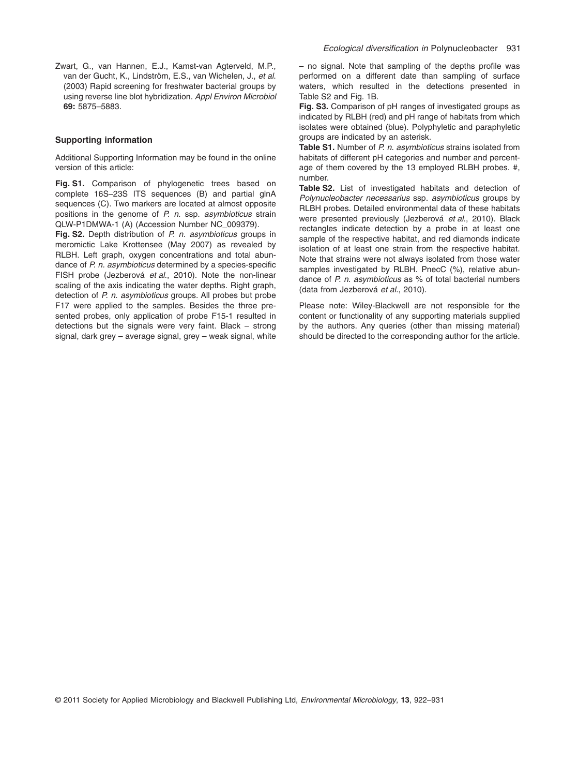Zwart, G., van Hannen, E.J., Kamst-van Agterveld, M.P., van der Gucht, K., Lindström, E.S., van Wichelen, J., *et al*. (2003) Rapid screening for freshwater bacterial groups by using reverse line blot hybridization. *Appl Environ Microbiol* **69:** 5875–5883.

#### **Supporting information**

Additional Supporting Information may be found in the online version of this article:

**Fig. S1.** Comparison of phylogenetic trees based on complete 16S–23S ITS sequences (B) and partial glnA sequences (C). Two markers are located at almost opposite positions in the genome of *P. n.* ssp. *asymbioticus* strain QLW-P1DMWA-1 (A) (Accession Number NC\_009379).

**Fig. S2.** Depth distribution of *P. n. asymbioticus* groups in meromictic Lake Krottensee (May 2007) as revealed by RLBH. Left graph, oxygen concentrations and total abundance of *P. n. asymbioticus* determined by a species-specific FISH probe (Jezberová *et al*., 2010). Note the non-linear scaling of the axis indicating the water depths. Right graph, detection of *P. n. asymbioticus* groups. All probes but probe F17 were applied to the samples. Besides the three presented probes, only application of probe F15-1 resulted in detections but the signals were very faint. Black – strong signal, dark grey – average signal, grey – weak signal, white

– no signal. Note that sampling of the depths profile was performed on a different date than sampling of surface waters, which resulted in the detections presented in Table S2 and Fig. 1B.

**Fig. S3.** Comparison of pH ranges of investigated groups as indicated by RLBH (red) and pH range of habitats from which isolates were obtained (blue). Polyphyletic and paraphyletic groups are indicated by an asterisk.

**Table S1.** Number of *P. n. asymbioticus* strains isolated from habitats of different pH categories and number and percentage of them covered by the 13 employed RLBH probes. #, number.

**Table S2.** List of investigated habitats and detection of *Polynucleobacter necessarius* ssp. *asymbioticus* groups by RLBH probes. Detailed environmental data of these habitats were presented previously (Jezberová *et al*., 2010). Black rectangles indicate detection by a probe in at least one sample of the respective habitat, and red diamonds indicate isolation of at least one strain from the respective habitat. Note that strains were not always isolated from those water samples investigated by RLBH. PnecC (%), relative abundance of *P. n. asymbioticus* as % of total bacterial numbers (data from Jezberová *et al*., 2010).

Please note: Wiley-Blackwell are not responsible for the content or functionality of any supporting materials supplied by the authors. Any queries (other than missing material) should be directed to the corresponding author for the article.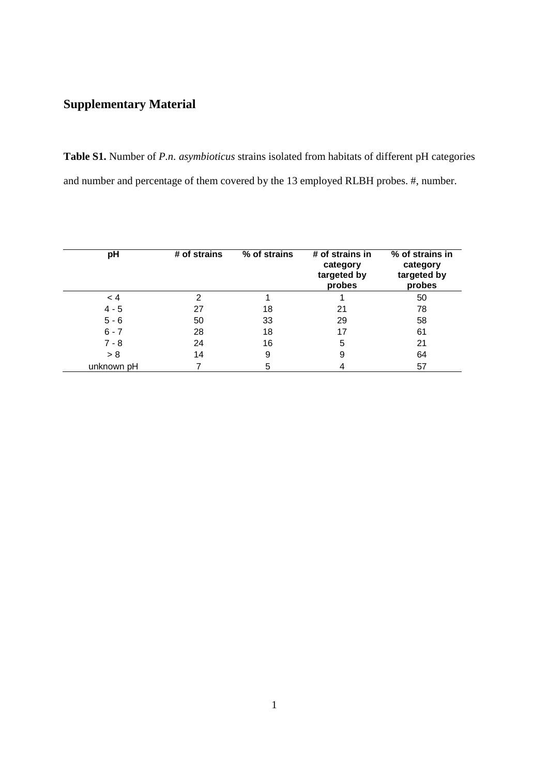# **Supplementary Material**

**Table S1.** Number of *P.n. asymbioticus* strains isolated from habitats of different pH categories and number and percentage of them covered by the 13 employed RLBH probes. #, number.

| pH         | # of strains | % of strains | # of strains in<br>category<br>targeted by<br>probes | % of strains in<br>category<br>targeted by<br>probes |
|------------|--------------|--------------|------------------------------------------------------|------------------------------------------------------|
| $\leq 4$   | 2            |              |                                                      | 50                                                   |
| $4 - 5$    | 27           | 18           | 21                                                   | 78                                                   |
| $5 - 6$    | 50           | 33           | 29                                                   | 58                                                   |
| $6 - 7$    | 28           | 18           | 17                                                   | 61                                                   |
| $7 - 8$    | 24           | 16           | 5                                                    | 21                                                   |
| > 8        | 14           | 9            | 9                                                    | 64                                                   |
| unknown pH |              | 5            |                                                      | 57                                                   |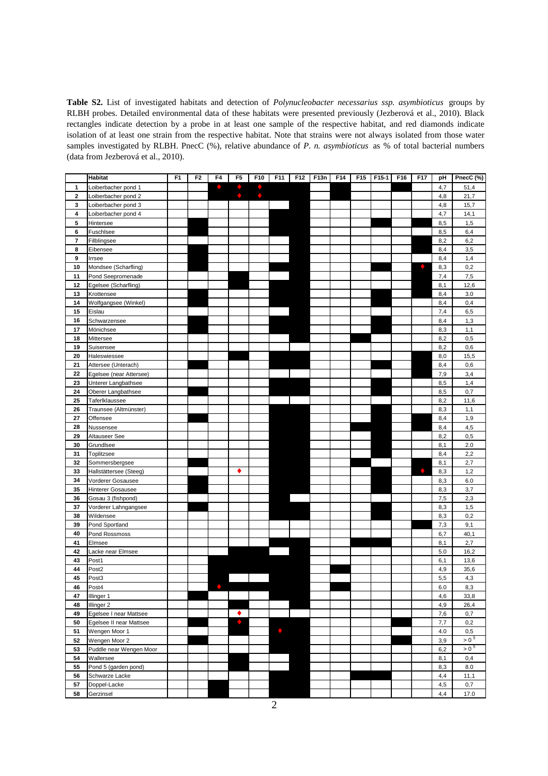**Table S2.** List of investigated habitats and detection of *Polynucleobacter necessarius ssp. asymbioticus* groups by RLBH probes. Detailed environmental data of these habitats were presented previously (Jezberová et al., 2010). Black rectangles indicate detection by a probe in at least one sample of the respective habitat, and red diamonds indicate isolation of at least one strain from the respective habitat. Note that strains were not always isolated from those water samples investigated by RLBH. PnecC (%), relative abundance of *P. n. asymbioticus* as % of total bacterial numbers (data from Jezberová et al., 2010).

|          | <b>Habitat</b>           | F1 | F2 | F4        | F5              | F10       | F11       | F12 | F <sub>13</sub> n | F14 | F <sub>15</sub> | F15-1 | F16 | F17 | рH         | PnecC (%)           |
|----------|--------------------------|----|----|-----------|-----------------|-----------|-----------|-----|-------------------|-----|-----------------|-------|-----|-----|------------|---------------------|
| 1        | Loiberbacher pond 1      |    |    | $\bullet$ | $\bullet$       | $\bullet$ |           |     |                   |     |                 |       |     |     | 4,7        | 51,4                |
| 2        | Loiberbacher pond 2      |    |    |           |                 | $\bullet$ |           |     |                   |     |                 |       |     |     | 4,8        | 21,7                |
| 3        | Loiberbacher pond 3      |    |    |           |                 |           |           |     |                   |     |                 |       |     |     | 4,8        | 15,7                |
| 4        | Loiberbacher pond 4      |    |    |           |                 |           |           |     |                   |     |                 |       |     |     | 4,7        | 14,1                |
| 5        | Hintersee                |    |    |           |                 |           |           |     |                   |     |                 |       |     |     | 8,5        | 1,5                 |
| 6        | FuschIsee                |    |    |           |                 |           |           |     |                   |     |                 |       |     |     | 8,5        | 6,4                 |
| 7        | Filblingsee              |    |    |           |                 |           |           |     |                   |     |                 |       |     |     | 8,2        | 6,2                 |
| 8        | Eibensee                 |    |    |           |                 |           |           |     |                   |     |                 |       |     |     | 8,4        | 3,5                 |
| 9        | Irrsee                   |    |    |           |                 |           |           |     |                   |     |                 |       |     |     | 8,4        | 1,4                 |
| 10       | Mondsee (Scharfling)     |    |    |           |                 |           |           |     |                   |     |                 |       |     |     | 8,3        | 0,2                 |
| 11       | Pond Seepromenade        |    |    |           |                 |           |           |     |                   |     |                 |       |     |     | 7,4        | 7,5                 |
| 12       | Egelsee (Scharfling)     |    |    |           |                 |           |           |     |                   |     |                 |       |     |     | 8,1        | 12,6                |
| 13       | Krottensee               |    |    |           |                 |           |           |     |                   |     |                 |       |     |     | 8,4        | 3.0                 |
| 14       | Wolfgangsee (Winkel)     |    |    |           |                 |           |           |     |                   |     |                 |       |     |     | 8,4        | 0,4                 |
| 15       | Eislau                   |    |    |           |                 |           |           |     |                   |     |                 |       |     |     | 7,4        | 6,5                 |
| 16       | Schwarzensee             |    |    |           |                 |           |           |     |                   |     |                 |       |     |     | 8,4        | 1,3                 |
| 17       | Mönichsee                |    |    |           |                 |           |           |     |                   |     |                 |       |     |     | 8,3        | 1,1                 |
| 18       | Mittersee                |    |    |           |                 |           |           |     |                   |     |                 |       |     |     | 8,2        | 0,5                 |
| 19       | Suisensee                |    |    |           |                 |           |           |     |                   |     |                 |       |     |     | 8,2        | 0,6                 |
| 20       | Haleswiessee             |    |    |           |                 |           |           |     |                   |     |                 |       |     |     | 8,0        | 15,5                |
| 21       | Attersee (Unterach)      |    |    |           |                 |           |           |     |                   |     |                 |       |     |     | 8,4        | 0,6                 |
| 22       | Egelsee (near Attersee)  |    |    |           |                 |           |           |     |                   |     |                 |       |     |     | 7,9        | 3,4                 |
| 23       | Unterer Langbathsee      |    |    |           |                 |           |           |     |                   |     |                 |       |     |     | 8,5        | 1,4                 |
| 24       | Oberer Langbathsee       |    |    |           |                 |           |           |     |                   |     |                 |       |     |     | 8,5        | 0,7                 |
| 25       | Taferlklaussee           |    |    |           |                 |           |           |     |                   |     |                 |       |     |     | 8,2        | 11,6                |
| 26       | Traunsee (Altmünster)    |    |    |           |                 |           |           |     |                   |     |                 |       |     |     | 8,3        | 1,1                 |
| 27       | Offensee                 |    |    |           |                 |           |           |     |                   |     |                 |       |     |     | 8,4        | 1,9                 |
| 28       | Nussensee                |    |    |           |                 |           |           |     |                   |     |                 |       |     |     | 8,4        | 4,5                 |
| 29       | Altauseer See            |    |    |           |                 |           |           |     |                   |     |                 |       |     |     | 8,2        | 0,5                 |
| 30       | GrundIsee                |    |    |           |                 |           |           |     |                   |     |                 |       |     |     | 8,1        | 2.0                 |
| 31       | Toplitzsee               |    |    |           |                 |           |           |     |                   |     |                 |       |     |     | 8,4        | 2,2                 |
| 32       | Sommersbergsee           |    |    |           |                 |           |           |     |                   |     |                 |       |     |     | 8,1        | 2,7                 |
| 33       | Hallstättersee (Steeg)   |    |    |           | ٠               |           |           |     |                   |     |                 |       |     |     | 8,3        | 1,2                 |
| 34       | Vorderer Gosausee        |    |    |           |                 |           |           |     |                   |     |                 |       |     |     | 8,3        | 6.0                 |
| 35       | <b>Hinterer Gosausee</b> |    |    |           |                 |           |           |     |                   |     |                 |       |     |     | 8,3        | 3,7                 |
| 36       | Gosau 3 (fishpond)       |    |    |           |                 |           |           |     |                   |     |                 |       |     |     | 7,5        | 2,3                 |
| 37<br>38 | Vorderer Lahngangsee     |    |    |           |                 |           |           |     |                   |     |                 |       |     |     | 8,3        | 1,5                 |
|          | Wildensee                |    |    |           |                 |           |           |     |                   |     |                 |       |     |     | 8,3        | 0,2<br>9,1          |
| 39<br>40 | Pond Sportland           |    |    |           |                 |           |           |     |                   |     |                 |       |     |     | 7,3<br>6,7 |                     |
| 41       | Pond Rossmoss<br>Elmsee  |    |    |           |                 |           |           |     |                   |     |                 |       |     |     | 8,1        | 40,1<br>2,7         |
| 42       | Lacke near Elmsee        |    |    |           |                 |           |           |     |                   |     |                 |       |     |     | 5.0        | 16,2                |
| 43       | Post1                    |    |    |           |                 |           |           |     |                   |     |                 |       |     |     | 6,1        | 13,6                |
| 44       | Post <sub>2</sub>        |    |    |           |                 |           |           |     |                   |     |                 |       |     |     | 4,9        | 35,6                |
| 45       | Post3                    |    |    |           |                 |           |           |     |                   |     |                 |       |     |     | 5,5        | 4,3                 |
| 46       | Post4                    |    |    |           |                 |           |           |     |                   |     |                 |       |     |     | 6.0        | 8,3                 |
| 47       | Illinger 1               |    |    |           |                 |           |           |     |                   |     |                 |       |     |     | 4,6        | 33,8                |
| 48       | Illinger 2               |    |    |           |                 |           |           |     |                   |     |                 |       |     |     | 4,9        | 26,4                |
| 49       | Egelsee I near Mattsee   |    |    |           | $\blacklozenge$ |           |           |     |                   |     |                 |       |     |     | 7,6        | 0,7                 |
| 50       | Egelsee II near Mattsee  |    |    |           | $\bullet$       |           |           |     |                   |     |                 |       |     |     | 7,7        | 0,2                 |
| 51       | Wengen Moor 1            |    |    |           |                 |           | $\bullet$ |     |                   |     |                 |       |     |     | 4.0        | 0,5                 |
| 52       | Wengen Moor 2            |    |    |           |                 |           |           |     |                   |     |                 |       |     |     | 3,9        | $> 0^{\frac{6}{5}}$ |
| 53       | Puddle near Wengen Moor  |    |    |           |                 |           |           |     |                   |     |                 |       |     |     | 6,2        | $> 0$ s             |
| 54       | Wallersee                |    |    |           |                 |           |           |     |                   |     |                 |       |     |     | 8,1        | 0,4                 |
| 55       | Pond 5 (garden pond)     |    |    |           |                 |           |           |     |                   |     |                 |       |     |     | 8,3        | 8.0                 |
| 56       | Schwarze Lacke           |    |    |           |                 |           |           |     |                   |     |                 |       |     |     | 4,4        | 11,1                |
| 57       | Doppel-Lacke             |    |    |           |                 |           |           |     |                   |     |                 |       |     |     | 4,5        | 0,7                 |
| 58       | Gerzinsel                |    |    |           |                 |           |           |     |                   |     |                 |       |     |     | 4,4        | 17.0                |
|          |                          |    |    |           |                 |           |           |     |                   |     |                 |       |     |     |            |                     |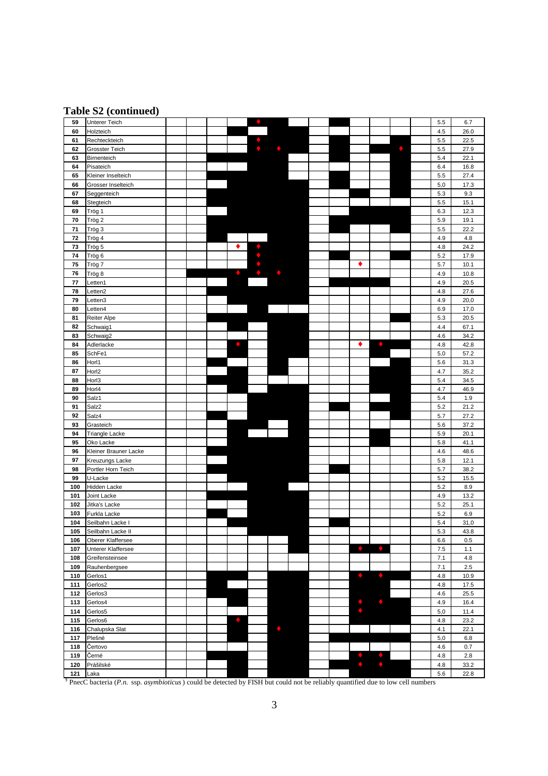# **Table S2 (continued)**

| 59  | Unterer Teich         |  |           |           |  |           |               |   | 5.5 | 6.7     |
|-----|-----------------------|--|-----------|-----------|--|-----------|---------------|---|-----|---------|
| 60  | Holzteich             |  |           |           |  |           |               |   | 4.5 | 26.0    |
| 61  | Rechteckteich         |  |           |           |  |           |               |   | 5.5 | 22.5    |
| 62  | Grosster Teich        |  |           |           |  |           |               | ۰ | 5.5 | 27.9    |
| 63  | Birnenteich           |  |           |           |  |           |               |   | 5.4 | 22.1    |
| 64  | Pisateich             |  |           |           |  |           |               |   | 6.4 | 16.8    |
| 65  | Kleiner Inselteich    |  |           |           |  |           |               |   | 5.5 | 27.4    |
| 66  | Grosser Inselteich    |  |           |           |  |           |               |   | 5,0 | 17.3    |
| 67  | Seggenteich           |  |           |           |  |           |               |   | 5.3 | 9.3     |
| 68  | Stegteich             |  |           |           |  |           |               |   | 5.5 | 15.1    |
| 69  | Trög 1                |  |           |           |  |           |               |   | 6.3 | 12.3    |
| 70  | Trög 2                |  |           |           |  |           |               |   | 5.9 | 19.1    |
| 71  | Trög 3                |  |           |           |  |           |               |   | 5.5 | 22.2    |
| 72  | Trög 4                |  |           |           |  |           |               |   | 4.9 | 4.8     |
| 73  | Trög 5                |  | ٠         |           |  |           |               |   | 4.8 | 24.2    |
| 74  | Trög 6                |  |           |           |  |           |               |   | 5.2 | 17.9    |
| 75  | Trög 7                |  |           |           |  | ٠         |               |   | 5.7 | 10.1    |
| 76  | Trög 8                |  | $\bullet$ |           |  |           |               |   | 4.9 | 10.8    |
| 77  | Letten1               |  |           |           |  |           |               |   | 4.9 | 20.5    |
| 78  | Letten2               |  |           |           |  |           |               |   | 4.8 | 27.6    |
| 79  | Letten3               |  |           |           |  |           |               |   | 4.9 | 20,0    |
| 80  | Letten4               |  |           |           |  |           |               |   | 6.9 | 17,0    |
| 81  | Reiter Alpe           |  |           |           |  |           |               |   | 5.3 | 20.5    |
| 82  | Schwaig1              |  |           |           |  |           |               |   | 4.4 | 67.1    |
| 83  | Schwaig2              |  |           |           |  |           |               |   | 4.6 | 34.2    |
| 84  | Adlerlacke            |  |           |           |  | ٠         | ۰             |   | 4.8 | 42.8    |
| 85  | SchFe1                |  |           |           |  |           |               |   | 5,0 | 57.2    |
| 86  | Horl1                 |  |           |           |  |           |               |   | 5.6 | 31.3    |
| 87  | Horl <sub>2</sub>     |  |           |           |  |           |               |   | 4.7 | 35.2    |
| 88  | Horl3                 |  |           |           |  |           |               |   | 5.4 | 34.5    |
| 89  | Horl4                 |  |           |           |  |           |               |   | 4.7 | 46.9    |
| 90  | Salz1                 |  |           |           |  |           |               |   | 5.4 | 1.9     |
| 91  | Salz2                 |  |           |           |  |           |               |   | 5.2 | 21.2    |
| 92  | Salz4                 |  |           |           |  |           |               |   | 5.7 | 27.2    |
| 93  | Grasteich             |  |           |           |  |           |               |   | 5.6 | 37.2    |
| 94  | <b>Triangle Lacke</b> |  |           |           |  |           |               |   | 5.9 | 20.1    |
| 95  | Oko Lacke             |  |           |           |  |           |               |   | 5.8 | 41.1    |
| 96  | Kleiner Brauner Lacke |  |           |           |  |           |               |   | 4.6 | 48.6    |
| 97  | Kreuzungs Lacke       |  |           |           |  |           |               |   | 5.8 | 12.1    |
| 98  | Portler Horn Teich    |  |           |           |  |           |               |   | 5.7 | 38.2    |
| 99  | U-Lacke               |  |           |           |  |           |               |   | 5.2 | 15.5    |
| 100 | Hidden Lacke          |  |           |           |  |           |               |   | 5.2 | 8.9     |
| 101 | Joint Lacke           |  |           |           |  |           |               |   | 4.9 | 13.2    |
| 102 | Jitka's Lacke         |  |           |           |  |           |               |   | 5.2 | 25.1    |
| 103 | Furkla Lacke          |  |           |           |  |           |               |   | 5.2 | 6.9     |
| 104 | Seilbahn Lacke I      |  |           |           |  |           |               |   | 5.4 | 31,0    |
| 105 | Seilbahn Lacke II     |  |           |           |  |           |               |   | 5.3 | 43.8    |
| 106 | Oberer Klaffersee     |  |           |           |  |           |               |   | 6.6 | 0.5     |
| 107 | Unterer Klaffersee    |  |           |           |  | $\bullet$ | $\bullet$     |   | 7.5 | 1.1     |
| 108 | Greifensteinsee       |  |           |           |  |           |               |   | 7.1 | 4.8     |
| 109 | Rauhenbergsee         |  |           |           |  |           |               |   | 7.1 | 2.5     |
| 110 | Gerlos1               |  |           |           |  |           | $\bullet$     |   | 4.8 | 10.9    |
| 111 | Gerlos2               |  |           |           |  |           |               |   | 4.8 | 17.5    |
| 112 | Gerlos3               |  |           |           |  |           |               |   | 4.6 | 25.5    |
| 113 | Gerlos4               |  |           |           |  |           |               |   | 4.9 | 16.4    |
| 114 | Gerlos5               |  |           |           |  |           |               |   | 5,0 | 11.4    |
| 115 | Gerlos6               |  |           |           |  |           |               |   | 4.8 | 23.2    |
| 116 | Chalupska Slat        |  |           | $\bullet$ |  |           |               |   | 4.1 | 22.1    |
| 117 | Plešné                |  |           |           |  |           |               |   | 5,0 | $6.8\,$ |
| 118 | Čertovo               |  |           |           |  |           |               |   | 4.6 | 0.7     |
| 119 | Černé                 |  |           |           |  |           | $\mathcal{O}$ |   | 4.8 | 2.8     |
| 120 | Prášilské             |  |           |           |  |           |               |   | 4.8 | 33.2    |
| 121 | Laka                  |  |           |           |  |           |               |   | 5.6 | 22.8    |

121 Laka **121 Laka** 5.6 22.8<br><sup>§</sup> PnecC bacteria (*P.n.* ssp. *asymbioticus*) could be detected by FISH but could not be reliably quantified due to low cell numbers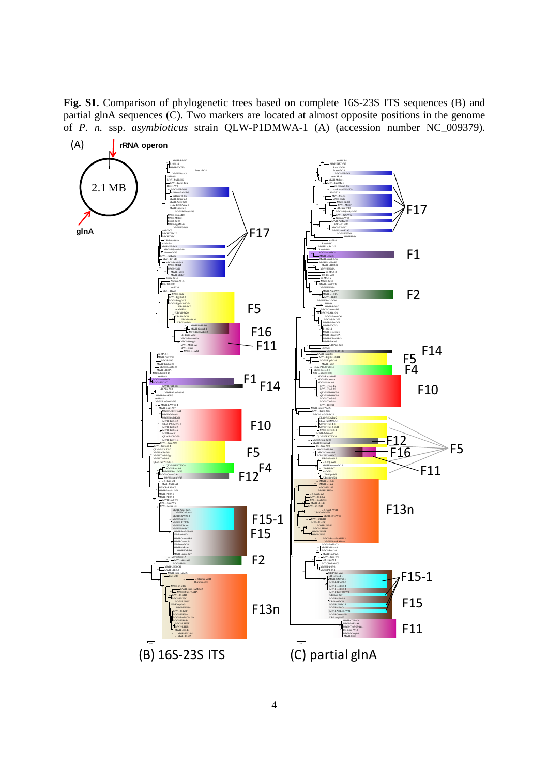**Fig. S1.** Comparison of phylogenetic trees based on complete 16S-23S ITS sequences (B) and partial glnA sequences (C). Two markers are located at almost opposite positions in the genome of *P. n.* ssp. *asymbioticus* strain QLW-P1DMWA-1 (A) (accession number NC\_009379).

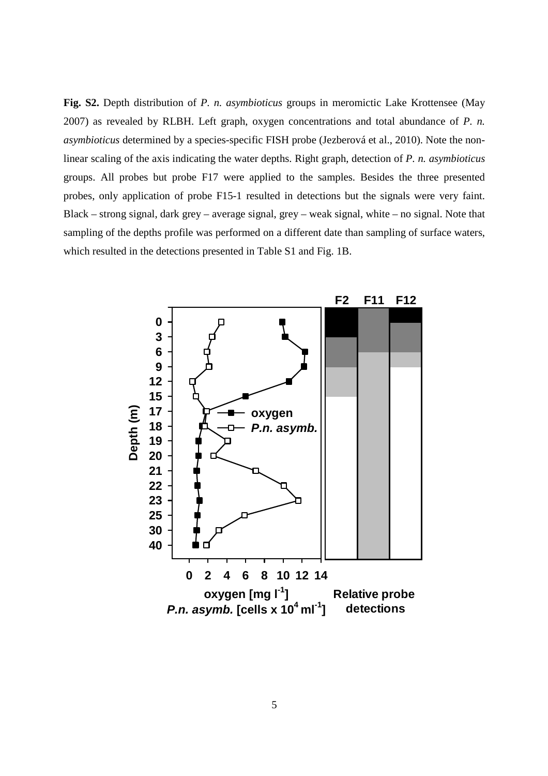**Fig. S2.** Depth distribution of *P. n. asymbioticus* groups in meromictic Lake Krottensee (May 2007) as revealed by RLBH. Left graph, oxygen concentrations and total abundance of *P. n. asymbioticus* determined by a species-specific FISH probe (Jezberová et al., 2010). Note the nonlinear scaling of the axis indicating the water depths. Right graph, detection of *P. n. asymbioticus* groups. All probes but probe F17 were applied to the samples. Besides the three presented probes, only application of probe F15-1 resulted in detections but the signals were very faint. Black – strong signal, dark grey – average signal, grey – weak signal, white – no signal. Note that sampling of the depths profile was performed on a different date than sampling of surface waters, which resulted in the detections presented in Table S1 and Fig. 1B.